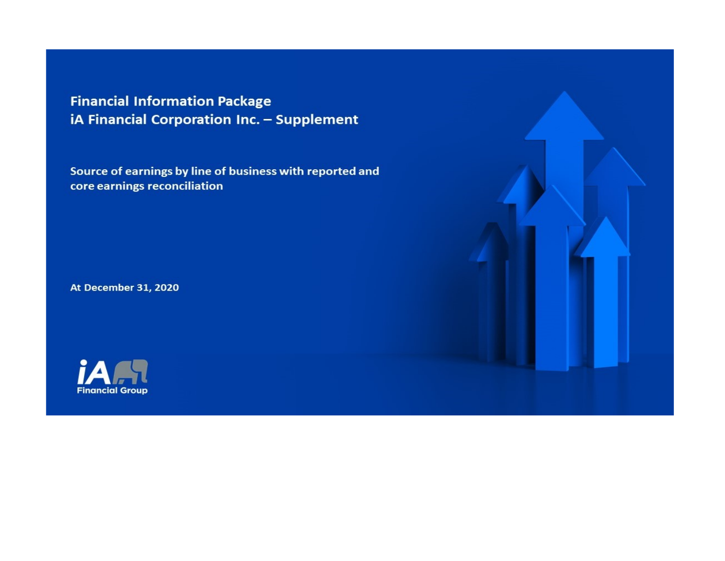## **Financial Information Package** iA Financial Corporation Inc. - Supplement

Source of earnings by line of business with reported and core earnings reconciliation

**At December 31, 2020** 



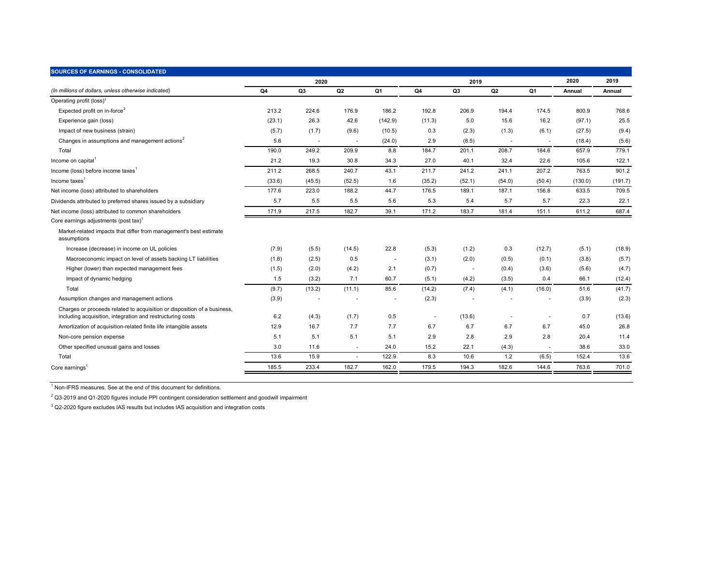| <b>SOURCES OF EARNINGS - CONSOLIDATED</b>                                                                                              |        |                |                          |         |                          |                |                |                          |         |         |
|----------------------------------------------------------------------------------------------------------------------------------------|--------|----------------|--------------------------|---------|--------------------------|----------------|----------------|--------------------------|---------|---------|
|                                                                                                                                        |        | 2020           |                          |         |                          | 2019           |                | 2020                     | 2019    |         |
| (In millions of dollars, unless otherwise indicated)                                                                                   | Q4     | Q <sub>3</sub> | Q2                       | Q1      | Q4                       | Q <sub>3</sub> | Q <sub>2</sub> | Q1                       | Annual  | Annual  |
| Operating profit (loss) <sup>1</sup>                                                                                                   |        |                |                          |         |                          |                |                |                          |         |         |
| Expected profit on in-force <sup>3</sup>                                                                                               | 213.2  | 224.6          | 176.9                    | 186.2   | 192.8                    | 206.9          | 194.4          | 174.5                    | 800.9   | 768.6   |
| Experience gain (loss)                                                                                                                 | (23.1) | 26.3           | 42.6                     | (142.9) | (11.3)                   | 5.0            | 15.6           | 16.2                     | (97.1)  | 25.5    |
| Impact of new business (strain)                                                                                                        | (5.7)  | (1.7)          | (9.6)                    | (10.5)  | 0.3                      | (2.3)          | (1.3)          | (6.1)                    | (27.5)  | (9.4)   |
| Changes in assumptions and management actions <sup>2</sup>                                                                             | 5.6    |                | $\overline{\phantom{a}}$ | (24.0)  | 2.9                      | (8.5)          |                | $\overline{\phantom{a}}$ | (18.4)  | (5.6)   |
| Total                                                                                                                                  | 190.0  | 249.2          | 209.9                    | 8.8     | 184.7                    | 201.1          | 208.7          | 184.6                    | 657.9   | 779.1   |
| Income on capital <sup>1</sup>                                                                                                         | 21.2   | 19.3           | 30.8                     | 34.3    | 27.0                     | 40.1           | 32.4           | 22.6                     | 105.6   | 122.1   |
| Income (loss) before income taxes <sup>1</sup>                                                                                         | 211.2  | 268.5          | 240.7                    | 43.1    | 211.7                    | 241.2          | 241.1          | 207.2                    | 763.5   | 901.2   |
| Income taxes $1$                                                                                                                       | (33.6) | (45.5)         | (52.5)                   | 1.6     | (35.2)                   | (52.1)         | (54.0)         | (50.4)                   | (130.0) | (191.7) |
| Net income (loss) attributed to shareholders                                                                                           | 177.6  | 223.0          | 188.2                    | 44.7    | 176.5                    | 189.1          | 187.1          | 156.8                    | 633.5   | 709.5   |
| Dividends attributed to preferred shares issued by a subsidiary                                                                        | 5.7    | 5.5            | 5.5                      | 5.6     | 5.3                      | 5.4            | 5.7            | 5.7                      | 22.3    | 22.1    |
| Net income (loss) attributed to common shareholders                                                                                    | 171.9  | 217.5          | 182.7                    | 39.1    | 171.2                    | 183.7          | 181.4          | 151.1                    | 611.2   | 687.4   |
| Core earnings adjustments (post tax) <sup>1</sup>                                                                                      |        |                |                          |         |                          |                |                |                          |         |         |
| Market-related impacts that differ from management's best estimate<br>assumptions                                                      |        |                |                          |         |                          |                |                |                          |         |         |
| Increase (decrease) in income on UL policies                                                                                           | (7.9)  | (5.5)          | (14.5)                   | 22.8    | (5.3)                    | (1.2)          | 0.3            | (12.7)                   | (5.1)   | (18.9)  |
| Macroeconomic impact on level of assets backing LT liabilities                                                                         | (1.8)  | (2.5)          | 0.5                      |         | (3.1)                    | (2.0)          | (0.5)          | (0.1)                    | (3.8)   | (5.7)   |
| Higher (lower) than expected management fees                                                                                           | (1.5)  | (2.0)          | (4.2)                    | 2.1     | (0.7)                    | ä,             | (0.4)          | (3.6)                    | (5.6)   | (4.7)   |
| Impact of dynamic hedging                                                                                                              | 1.5    | (3.2)          | 7.1                      | 60.7    | (5.1)                    | (4.2)          | (3.5)          | 0.4                      | 66.1    | (12.4)  |
| Total                                                                                                                                  | (9.7)  | (13.2)         | (11.1)                   | 85.6    | (14.2)                   | (7.4)          | (4.1)          | (16.0)                   | 51.6    | (41.7)  |
| Assumption changes and management actions                                                                                              | (3.9)  |                |                          |         | (2.3)                    |                |                |                          | (3.9)   | (2.3)   |
| Charges or proceeds related to acquisition or disposition of a business,<br>including acquisition, integration and restructuring costs | 6.2    | (4.3)          | (1.7)                    | 0.5     | $\overline{\phantom{a}}$ | (13.6)         |                | ٠                        | 0.7     | (13.6)  |
| Amortization of acquisition-related finite life intangible assets                                                                      | 12.9   | 16.7           | 7.7                      | 7.7     | 6.7                      | 6.7            | 6.7            | 6.7                      | 45.0    | 26.8    |
| Non-core pension expense                                                                                                               | 5.1    | 5.1            | 5.1                      | 5.1     | 2.9                      | 2.8            | 2.9            | 2.8                      | 20.4    | 11.4    |
| Other specified unusual gains and losses                                                                                               | 3.0    | 11.6           | $\sim$                   | 24.0    | 15.2                     | 22.1           | (4.3)          | $\sim$                   | 38.6    | 33.0    |
| Total                                                                                                                                  | 13.6   | 15.9           |                          | 122.9   | 8.3                      | 10.6           | 1.2            | (6.5)                    | 152.4   | 13.6    |
| Core earnings $1$                                                                                                                      | 185.5  | 233.4          | 182.7                    | 162.0   | 179.5                    | 194.3          | 182.6          | 144.6                    | 763.6   | 701.0   |
|                                                                                                                                        |        |                |                          |         |                          |                |                |                          |         |         |

<sup>1</sup> Non-IFRS measures. See at the end of this document for definitions.

 $^2$  Q3-2019 and Q1-2020 figures include PPI contingent consideration settlement and goodwill impairment

 $3$  Q2-2020 figure excludes IAS results but includes IAS acquisition and integration costs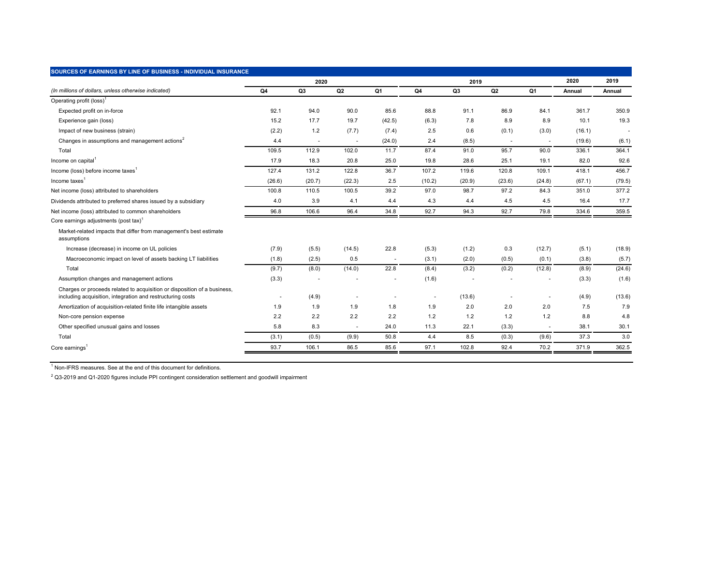| <b>SOURCES OF EARNINGS BY LINE OF BUSINESS - INDIVIDUAL INSURANCE</b>                                                                  |                          |        |        |        |        |                |        |        |        |        |
|----------------------------------------------------------------------------------------------------------------------------------------|--------------------------|--------|--------|--------|--------|----------------|--------|--------|--------|--------|
|                                                                                                                                        |                          | 2020   |        |        |        | 2019           |        | 2020   | 2019   |        |
| (In millions of dollars, unless otherwise indicated)                                                                                   | Q4                       | Q3     | Q2     | Q1     | Q4     | Q <sub>3</sub> | Q2     | Q1     | Annual | Annual |
| Operating profit (loss) <sup>1</sup>                                                                                                   |                          |        |        |        |        |                |        |        |        |        |
| Expected profit on in-force                                                                                                            | 92.1                     | 94.0   | 90.0   | 85.6   | 88.8   | 91.1           | 86.9   | 84.1   | 361.7  | 350.9  |
| Experience gain (loss)                                                                                                                 | 15.2                     | 17.7   | 19.7   | (42.5) | (6.3)  | 7.8            | 8.9    | 8.9    | 10.1   | 19.3   |
| Impact of new business (strain)                                                                                                        | (2.2)                    | $1.2$  | (7.7)  | (7.4)  | 2.5    | 0.6            | (0.1)  | (3.0)  | (16.1) | ٠      |
| Changes in assumptions and management actions <sup>2</sup>                                                                             | 4.4                      |        |        | (24.0) | 2.4    | (8.5)          |        |        | (19.6) | (6.1)  |
| Total                                                                                                                                  | 109.5                    | 112.9  | 102.0  | 11.7   | 87.4   | 91.0           | 95.7   | 90.0   | 336.1  | 364.1  |
| Income on capital <sup>1</sup>                                                                                                         | 17.9                     | 18.3   | 20.8   | 25.0   | 19.8   | 28.6           | 25.1   | 19.1   | 82.0   | 92.6   |
| Income (loss) before income taxes <sup>1</sup>                                                                                         | 127.4                    | 131.2  | 122.8  | 36.7   | 107.2  | 119.6          | 120.8  | 109.1  | 418.1  | 456.7  |
| Income taxes $1$                                                                                                                       | (26.6)                   | (20.7) | (22.3) | 2.5    | (10.2) | (20.9)         | (23.6) | (24.8) | (67.1) | (79.5) |
| Net income (loss) attributed to shareholders                                                                                           | 100.8                    | 110.5  | 100.5  | 39.2   | 97.0   | 98.7           | 97.2   | 84.3   | 351.0  | 377.2  |
| Dividends attributed to preferred shares issued by a subsidiary                                                                        | 4.0                      | 3.9    | 4.1    | 4.4    | 4.3    | 4.4            | 4.5    | 4.5    | 16.4   | 17.7   |
| Net income (loss) attributed to common shareholders                                                                                    | 96.8                     | 106.6  | 96.4   | 34.8   | 92.7   | 94.3           | 92.7   | 79.8   | 334.6  | 359.5  |
| Core earnings adjustments (post tax) <sup>1</sup>                                                                                      |                          |        |        |        |        |                |        |        |        |        |
| Market-related impacts that differ from management's best estimate<br>assumptions                                                      |                          |        |        |        |        |                |        |        |        |        |
| Increase (decrease) in income on UL policies                                                                                           | (7.9)                    | (5.5)  | (14.5) | 22.8   | (5.3)  | (1.2)          | 0.3    | (12.7) | (5.1)  | (18.9) |
| Macroeconomic impact on level of assets backing LT liabilities                                                                         | (1.8)                    | (2.5)  | 0.5    |        | (3.1)  | (2.0)          | (0.5)  | (0.1)  | (3.8)  | (5.7)  |
| Total                                                                                                                                  | (9.7)                    | (8.0)  | (14.0) | 22.8   | (8.4)  | (3.2)          | (0.2)  | (12.8) | (8.9)  | (24.6) |
| Assumption changes and management actions                                                                                              | (3.3)                    |        |        |        | (1.6)  |                |        |        | (3.3)  | (1.6)  |
| Charges or proceeds related to acquisition or disposition of a business,<br>including acquisition, integration and restructuring costs | $\overline{\phantom{a}}$ | (4.9)  | ٠      |        | ٠      | (13.6)         |        |        | (4.9)  | (13.6) |
| Amortization of acquisition-related finite life intangible assets                                                                      | 1.9                      | 1.9    | 1.9    | 1.8    | 1.9    | 2.0            | 2.0    | 2.0    | 7.5    | 7.9    |
| Non-core pension expense                                                                                                               | 2.2                      | 2.2    | 2.2    | 2.2    | 1.2    | 1.2            | 1.2    | 1.2    | 8.8    | 4.8    |
| Other specified unusual gains and losses                                                                                               | 5.8                      | 8.3    | $\sim$ | 24.0   | 11.3   | 22.1           | (3.3)  |        | 38.1   | 30.1   |
| Total                                                                                                                                  | (3.1)                    | (0.5)  | (9.9)  | 50.8   | 4.4    | 8.5            | (0.3)  | (9.6)  | 37.3   | 3.0    |
| Core earnings $1$                                                                                                                      | 93.7                     | 106.1  | 86.5   | 85.6   | 97.1   | 102.8          | 92.4   | 70.2   | 371.9  | 362.5  |
|                                                                                                                                        |                          |        |        |        |        |                |        |        |        |        |

<sup>1</sup> Non-IFRS measures. See at the end of this document for definitions.

 $^2$  Q3-2019 and Q1-2020 figures include PPI contingent consideration settlement and goodwill impairment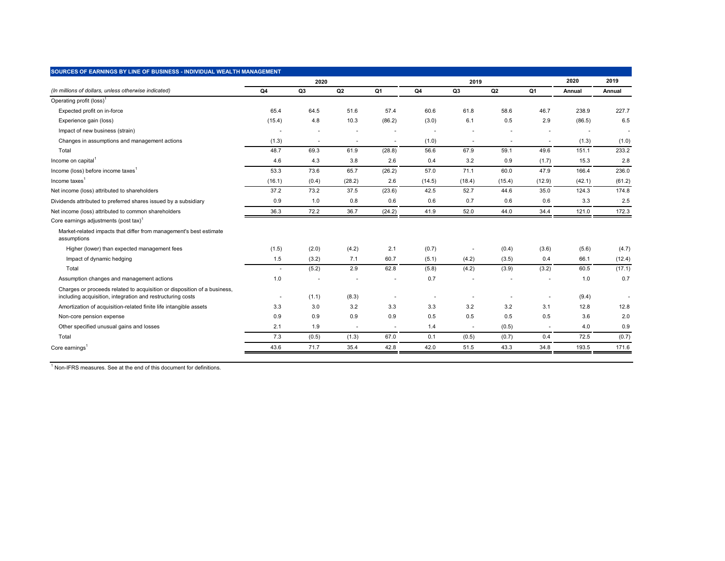| SOURCES OF EARNINGS BY LINE OF BUSINESS - INDIVIDUAL WEALTH MANAGEMENT                                                                 |                          |       |                |                          |        |        |        |        |        |        |
|----------------------------------------------------------------------------------------------------------------------------------------|--------------------------|-------|----------------|--------------------------|--------|--------|--------|--------|--------|--------|
|                                                                                                                                        |                          | 2020  |                |                          |        | 2019   |        |        | 2020   | 2019   |
| (In millions of dollars, unless otherwise indicated)                                                                                   | Q4                       | Q3    | Q <sub>2</sub> | Q1                       | Q4     | Q3     | Q2     | Q1     | Annual | Annual |
| Operating profit (loss) <sup>1</sup>                                                                                                   |                          |       |                |                          |        |        |        |        |        |        |
| Expected profit on in-force                                                                                                            | 65.4                     | 64.5  | 51.6           | 57.4                     | 60.6   | 61.8   | 58.6   | 46.7   | 238.9  | 227.7  |
| Experience gain (loss)                                                                                                                 | (15.4)                   | 4.8   | 10.3           | (86.2)                   | (3.0)  | 6.1    | 0.5    | 2.9    | (86.5) | 6.5    |
| Impact of new business (strain)                                                                                                        | $\overline{\phantom{a}}$ |       |                |                          |        |        |        |        |        | $\sim$ |
| Changes in assumptions and management actions                                                                                          | (1.3)                    |       |                | ×                        | (1.0)  |        |        | ٠      | (1.3)  | (1.0)  |
| Total                                                                                                                                  | 48.7                     | 69.3  | 61.9           | (28.8)                   | 56.6   | 67.9   | 59.1   | 49.6   | 151.1  | 233.2  |
| Income on capital <sup>1</sup>                                                                                                         | 4.6                      | 4.3   | 3.8            | 2.6                      | 0.4    | 3.2    | 0.9    | (1.7)  | 15.3   | 2.8    |
| Income (loss) before income taxes <sup>1</sup>                                                                                         | 53.3                     | 73.6  | 65.7           | (26.2)                   | 57.0   | 71.1   | 60.0   | 47.9   | 166.4  | 236.0  |
| Income taxes $1$                                                                                                                       | (16.1)                   | (0.4) | (28.2)         | 2.6                      | (14.5) | (18.4) | (15.4) | (12.9) | (42.1) | (61.2) |
| Net income (loss) attributed to shareholders                                                                                           | 37.2                     | 73.2  | 37.5           | (23.6)                   | 42.5   | 52.7   | 44.6   | 35.0   | 124.3  | 174.8  |
| Dividends attributed to preferred shares issued by a subsidiary                                                                        | 0.9                      | 1.0   | 0.8            | 0.6                      | 0.6    | 0.7    | 0.6    | 0.6    | 3.3    | 2.5    |
| Net income (loss) attributed to common shareholders                                                                                    | 36.3                     | 72.2  | 36.7           | (24.2)                   | 41.9   | 52.0   | 44.0   | 34.4   | 121.0  | 172.3  |
| Core earnings adjustments (post tax)                                                                                                   |                          |       |                |                          |        |        |        |        |        |        |
| Market-related impacts that differ from management's best estimate<br>assumptions                                                      |                          |       |                |                          |        |        |        |        |        |        |
| Higher (lower) than expected management fees                                                                                           | (1.5)                    | (2.0) | (4.2)          | 2.1                      | (0.7)  |        | (0.4)  | (3.6)  | (5.6)  | (4.7)  |
| Impact of dynamic hedging                                                                                                              | 1.5                      | (3.2) | 7.1            | 60.7                     | (5.1)  | (4.2)  | (3.5)  | 0.4    | 66.1   | (12.4) |
| Total                                                                                                                                  |                          | (5.2) | 2.9            | 62.8                     | (5.8)  | (4.2)  | (3.9)  | (3.2)  | 60.5   | (17.1) |
| Assumption changes and management actions                                                                                              | 1.0                      |       |                |                          | 0.7    |        |        |        | 1.0    | 0.7    |
| Charges or proceeds related to acquisition or disposition of a business,<br>including acquisition, integration and restructuring costs | $\overline{\phantom{a}}$ | (1.1) | (8.3)          |                          |        |        |        |        | (9.4)  |        |
| Amortization of acquisition-related finite life intangible assets                                                                      | 3.3                      | 3.0   | 3.2            | 3.3                      | 3.3    | 3.2    | 3.2    | 3.1    | 12.8   | 12.8   |
| Non-core pension expense                                                                                                               | 0.9                      | 0.9   | 0.9            | 0.9                      | 0.5    | 0.5    | 0.5    | 0.5    | 3.6    | 2.0    |
| Other specified unusual gains and losses                                                                                               | 2.1                      | 1.9   | ä,             | $\overline{\phantom{a}}$ | 1.4    | $\sim$ | (0.5)  | ٠      | 4.0    | 0.9    |
| Total                                                                                                                                  | 7.3                      | (0.5) | (1.3)          | 67.0                     | 0.1    | (0.5)  | (0.7)  | 0.4    | 72.5   | (0.7)  |
| Core earnings <sup>1</sup>                                                                                                             | 43.6                     | 71.7  | 35.4           | 42.8                     | 42.0   | 51.5   | 43.3   | 34.8   | 193.5  | 171.6  |

 $1$  Non-IFRS measures. See at the end of this document for definitions.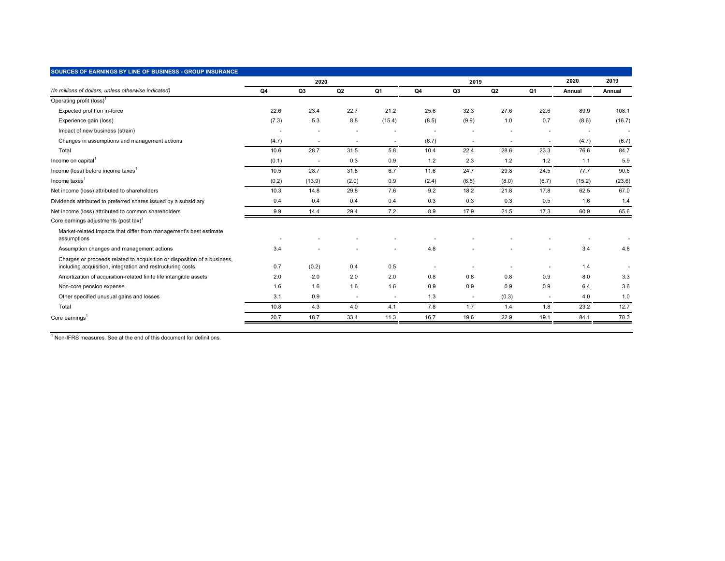| SOURCES OF EARNINGS BY LINE OF BUSINESS - GROUP INSURANCE                                                                              |       |                |        |                          |       |                          |                |       |                |        |
|----------------------------------------------------------------------------------------------------------------------------------------|-------|----------------|--------|--------------------------|-------|--------------------------|----------------|-------|----------------|--------|
|                                                                                                                                        |       | 2020           |        |                          |       | 2019                     |                |       | 2020           | 2019   |
| (In millions of dollars, unless otherwise indicated)                                                                                   | Q4    | Q3             | Q2     | Q1                       | Q4    | Q3                       | Q <sub>2</sub> | Q1    | Annual         | Annual |
| Operating profit (loss) <sup>1</sup>                                                                                                   |       |                |        |                          |       |                          |                |       |                |        |
| Expected profit on in-force                                                                                                            | 22.6  | 23.4           | 22.7   | 21.2                     | 25.6  | 32.3                     | 27.6           | 22.6  | 89.9           | 108.1  |
| Experience gain (loss)                                                                                                                 | (7.3) | 5.3            | 8.8    | (15.4)                   | (8.5) | (9.9)                    | 1.0            | 0.7   | (8.6)          | (16.7) |
| Impact of new business (strain)                                                                                                        |       |                |        |                          |       |                          |                |       | $\blacksquare$ |        |
| Changes in assumptions and management actions                                                                                          | (4.7) | $\blacksquare$ | $\sim$ | $\overline{\phantom{a}}$ | (6.7) | $\overline{\phantom{a}}$ |                | ٠     | (4.7)          | (6.7)  |
| Total                                                                                                                                  | 10.6  | 28.7           | 31.5   | 5.8                      | 10.4  | 22.4                     | 28.6           | 23.3  | 76.6           | 84.7   |
| Income on capital <sup>1</sup>                                                                                                         | (0.1) |                | 0.3    | 0.9                      | $1.2$ | 2.3                      | 1.2            | 1.2   | 1.1            | 5.9    |
| Income (loss) before income taxes <sup>1</sup>                                                                                         | 10.5  | 28.7           | 31.8   | 6.7                      | 11.6  | 24.7                     | 29.8           | 24.5  | 77.7           | 90.6   |
| Income taxes <sup>1</sup>                                                                                                              | (0.2) | (13.9)         | (2.0)  | 0.9                      | (2.4) | (6.5)                    | (8.0)          | (6.7) | (15.2)         | (23.6) |
| Net income (loss) attributed to shareholders                                                                                           | 10.3  | 14.8           | 29.8   | 7.6                      | 9.2   | 18.2                     | 21.8           | 17.8  | 62.5           | 67.0   |
| Dividends attributed to preferred shares issued by a subsidiary                                                                        | 0.4   | 0.4            | 0.4    | 0.4                      | 0.3   | 0.3                      | 0.3            | 0.5   | 1.6            | 1.4    |
| Net income (loss) attributed to common shareholders                                                                                    | 9.9   | 14.4           | 29.4   | 7.2                      | 8.9   | 17.9                     | 21.5           | 17.3  | 60.9           | 65.6   |
| Core earnings adjustments (post tax) <sup>1</sup>                                                                                      |       |                |        |                          |       |                          |                |       |                |        |
| Market-related impacts that differ from management's best estimate<br>assumptions                                                      |       |                |        |                          |       |                          |                |       |                |        |
| Assumption changes and management actions                                                                                              | 3.4   |                |        |                          | 4.8   |                          |                |       | 3.4            | 4.8    |
| Charges or proceeds related to acquisition or disposition of a business,<br>including acquisition, integration and restructuring costs | 0.7   | (0.2)          | 0.4    | 0.5                      |       |                          |                |       | 1.4            |        |
| Amortization of acquisition-related finite life intangible assets                                                                      | 2.0   | 2.0            | 2.0    | 2.0                      | 0.8   | 0.8                      | 0.8            | 0.9   | 8.0            | 3.3    |
| Non-core pension expense                                                                                                               | 1.6   | 1.6            | 1.6    | 1.6                      | 0.9   | 0.9                      | 0.9            | 0.9   | 6.4            | 3.6    |
| Other specified unusual gains and losses                                                                                               | 3.1   | 0.9            | $\sim$ |                          | 1.3   |                          | (0.3)          |       | 4.0            | 1.0    |
| Total                                                                                                                                  | 10.8  | 4.3            | 4.0    | 4.1                      | 7.8   | 1.7                      | 1.4            | 1.8   | 23.2           | 12.7   |
| Core earnings $1$                                                                                                                      | 20.7  | 18.7           | 33.4   | 11.3                     | 16.7  | 19.6                     | 22.9           | 19.1  | 84.1           | 78.3   |

<sup>1</sup> Non-IFRS measures. See at the end of this document for definitions.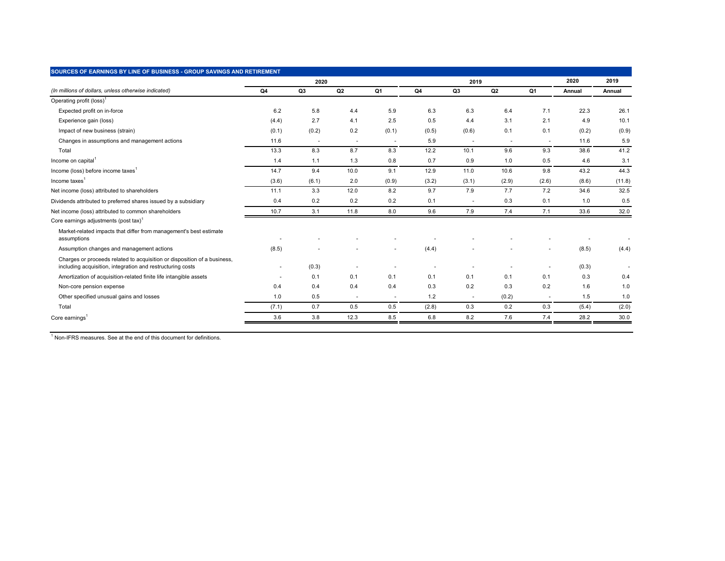| SOURCES OF EARNINGS BY LINE OF BUSINESS - GROUP SAVINGS AND RETIREMENT                                                                 |        | 2020           |                          |                          |       |                          |                          |        |        |        |
|----------------------------------------------------------------------------------------------------------------------------------------|--------|----------------|--------------------------|--------------------------|-------|--------------------------|--------------------------|--------|--------|--------|
|                                                                                                                                        |        |                | 2019                     | 2020                     | 2019  |                          |                          |        |        |        |
| (In millions of dollars, unless otherwise indicated)                                                                                   | Q4     | Q3             | Q2                       | Q1                       | Q4    | Q3                       | Q <sub>2</sub>           | Q1     | Annual | Annual |
| Operating profit (loss) <sup>1</sup>                                                                                                   |        |                |                          |                          |       |                          |                          |        |        |        |
| Expected profit on in-force                                                                                                            | 6.2    | 5.8            | 4.4                      | 5.9                      | 6.3   | 6.3                      | 6.4                      | 7.1    | 22.3   | 26.1   |
| Experience gain (loss)                                                                                                                 | (4.4)  | 2.7            | 4.1                      | 2.5                      | 0.5   | 4.4                      | 3.1                      | 2.1    | 4.9    | 10.1   |
| Impact of new business (strain)                                                                                                        | (0.1)  | (0.2)          | 0.2                      | (0.1)                    | (0.5) | (0.6)                    | 0.1                      | 0.1    | (0.2)  | (0.9)  |
| Changes in assumptions and management actions                                                                                          | 11.6   | $\blacksquare$ | $\overline{\phantom{a}}$ | $\overline{\phantom{a}}$ | 5.9   | $\overline{\phantom{a}}$ | $\overline{\phantom{a}}$ | $\sim$ | 11.6   | 5.9    |
| Total                                                                                                                                  | 13.3   | 8.3            | 8.7                      | 8.3                      | 12.2  | 10.1                     | 9.6                      | 9.3    | 38.6   | 41.2   |
| Income on capital <sup>1</sup>                                                                                                         | 1.4    | 1.1            | 1.3                      | 0.8                      | 0.7   | 0.9                      | 1.0                      | 0.5    | 4.6    | 3.1    |
| Income (loss) before income taxes <sup>1</sup>                                                                                         | 14.7   | 9.4            | 10.0                     | 9.1                      | 12.9  | 11.0                     | 10.6                     | 9.8    | 43.2   | 44.3   |
| Income taxes $1$                                                                                                                       | (3.6)  | (6.1)          | 2.0                      | (0.9)                    | (3.2) | (3.1)                    | (2.9)                    | (2.6)  | (8.6)  | (11.8) |
| Net income (loss) attributed to shareholders                                                                                           | 11.1   | 3.3            | 12.0                     | 8.2                      | 9.7   | 7.9                      | 7.7                      | 7.2    | 34.6   | 32.5   |
| Dividends attributed to preferred shares issued by a subsidiary                                                                        | 0.4    | 0.2            | 0.2                      | 0.2                      | 0.1   |                          | 0.3                      | 0.1    | 1.0    | 0.5    |
| Net income (loss) attributed to common shareholders                                                                                    | 10.7   | 3.1            | 11.8                     | 8.0                      | 9.6   | 7.9                      | 7.4                      | 7.1    | 33.6   | 32.0   |
| Core earnings adjustments (post tax) <sup>1</sup>                                                                                      |        |                |                          |                          |       |                          |                          |        |        |        |
| Market-related impacts that differ from management's best estimate<br>assumptions                                                      |        |                |                          |                          |       |                          |                          |        |        |        |
| Assumption changes and management actions                                                                                              | (8.5)  |                |                          | ٠                        | (4.4) |                          |                          |        | (8.5)  | (4.4)  |
| Charges or proceeds related to acquisition or disposition of a business,<br>including acquisition, integration and restructuring costs | $\sim$ | (0.3)          |                          |                          |       |                          |                          |        | (0.3)  |        |
| Amortization of acquisition-related finite life intangible assets                                                                      |        | 0.1            | 0.1                      | 0.1                      | 0.1   | 0.1                      | 0.1                      | 0.1    | 0.3    | 0.4    |
| Non-core pension expense                                                                                                               | 0.4    | 0.4            | 0.4                      | 0.4                      | 0.3   | 0.2                      | 0.3                      | 0.2    | 1.6    | 1.0    |
| Other specified unusual gains and losses                                                                                               | 1.0    | 0.5            | ÷.                       | $\overline{a}$           | 1.2   |                          | (0.2)                    |        | 1.5    | 1.0    |
| Total                                                                                                                                  | (7.1)  | 0.7            | 0.5                      | 0.5                      | (2.8) | 0.3                      | 0.2                      | 0.3    | (5.4)  | (2.0)  |
| Core earnings <sup>1</sup>                                                                                                             | 3.6    | 3.8            | 12.3                     | 8.5                      | 6.8   | 8.2                      | 7.6                      | 7.4    | 28.2   | 30.0   |

<sup>1</sup> Non-IFRS measures. See at the end of this document for definitions.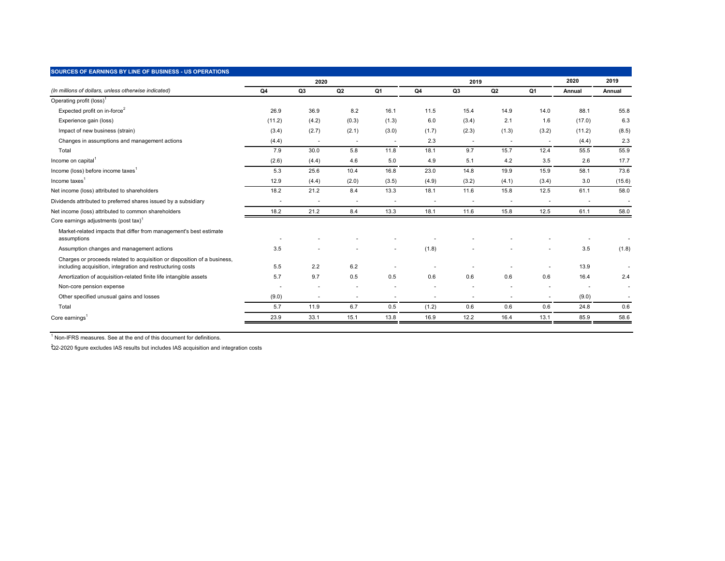| SOURCES OF EARNINGS BY LINE OF BUSINESS - US OPERATIONS                                                                                |        |                          |                          |       |                          |                          |                |                          |        |                          |
|----------------------------------------------------------------------------------------------------------------------------------------|--------|--------------------------|--------------------------|-------|--------------------------|--------------------------|----------------|--------------------------|--------|--------------------------|
|                                                                                                                                        |        | 2020                     |                          |       |                          | 2019                     | 2020           | 2019                     |        |                          |
| (In millions of dollars, unless otherwise indicated)                                                                                   | Q4     | Q3                       | Q2                       | Q1    | Q4                       | Q3                       | Q <sub>2</sub> | Q1                       | Annual | Annual                   |
| Operating profit (loss) <sup>1</sup>                                                                                                   |        |                          |                          |       |                          |                          |                |                          |        |                          |
| Expected profit on in-force <sup>2</sup>                                                                                               | 26.9   | 36.9                     | 8.2                      | 16.1  | 11.5                     | 15.4                     | 14.9           | 14.0                     | 88.1   | 55.8                     |
| Experience gain (loss)                                                                                                                 | (11.2) | (4.2)                    | (0.3)                    | (1.3) | 6.0                      | (3.4)                    | 2.1            | 1.6                      | (17.0) | 6.3                      |
| Impact of new business (strain)                                                                                                        | (3.4)  | (2.7)                    | (2.1)                    | (3.0) | (1.7)                    | (2.3)                    | (1.3)          | (3.2)                    | (11.2) | (8.5)                    |
| Changes in assumptions and management actions                                                                                          | (4.4)  | $\overline{\phantom{a}}$ | $\overline{\phantom{a}}$ | ٠     | 2.3                      | $\overline{\phantom{a}}$ |                | ٠                        | (4.4)  | 2.3                      |
| Total                                                                                                                                  | 7.9    | 30.0                     | 5.8                      | 11.8  | 18.1                     | 9.7                      | 15.7           | 12.4                     | 55.5   | 55.9                     |
| Income on capital <sup>1</sup>                                                                                                         | (2.6)  | (4.4)                    | 4.6                      | 5.0   | 4.9                      | 5.1                      | 4.2            | 3.5                      | 2.6    | 17.7                     |
| Income (loss) before income taxes <sup>1</sup>                                                                                         | 5.3    | 25.6                     | 10.4                     | 16.8  | 23.0                     | 14.8                     | 19.9           | 15.9                     | 58.1   | 73.6                     |
| Income taxes <sup>1</sup>                                                                                                              | 12.9   | (4.4)                    | (2.0)                    | (3.5) | (4.9)                    | (3.2)                    | (4.1)          | (3.4)                    | 3.0    | (15.6)                   |
| Net income (loss) attributed to shareholders                                                                                           | 18.2   | 21.2                     | 8.4                      | 13.3  | 18.1                     | 11.6                     | 15.8           | 12.5                     | 61.1   | 58.0                     |
| Dividends attributed to preferred shares issued by a subsidiary                                                                        |        |                          |                          | ٠     |                          | ٠                        |                |                          |        | $\overline{\phantom{a}}$ |
| Net income (loss) attributed to common shareholders                                                                                    | 18.2   | 21.2                     | 8.4                      | 13.3  | 18.1                     | 11.6                     | 15.8           | 12.5                     | 61.1   | 58.0                     |
| Core earnings adjustments (post tax) <sup>1</sup>                                                                                      |        |                          |                          |       |                          |                          |                |                          |        |                          |
| Market-related impacts that differ from management's best estimate<br>assumptions                                                      |        |                          |                          |       |                          |                          |                |                          |        |                          |
| Assumption changes and management actions                                                                                              | 3.5    |                          |                          | ٠     | (1.8)                    |                          |                | $\overline{\phantom{a}}$ | 3.5    | (1.8)                    |
| Charges or proceeds related to acquisition or disposition of a business,<br>including acquisition, integration and restructuring costs | 5.5    | 2.2                      | 6.2                      |       |                          |                          |                |                          | 13.9   |                          |
| Amortization of acquisition-related finite life intangible assets                                                                      | 5.7    | 9.7                      | 0.5                      | 0.5   | 0.6                      | 0.6                      | 0.6            | 0.6                      | 16.4   | 2.4                      |
| Non-core pension expense                                                                                                               |        |                          |                          |       |                          |                          |                |                          |        | $\overline{\phantom{a}}$ |
| Other specified unusual gains and losses                                                                                               | (9.0)  | $\overline{\phantom{a}}$ | $\overline{\phantom{a}}$ | ٠     | $\overline{\phantom{a}}$ | $\overline{\phantom{a}}$ | $\blacksquare$ | $\sim$                   | (9.0)  | $\overline{\phantom{a}}$ |
| Total                                                                                                                                  | 5.7    | 11.9                     | 6.7                      | 0.5   | (1.2)                    | 0.6                      | 0.6            | 0.6                      | 24.8   | 0.6                      |
| Core earnings $1$                                                                                                                      | 23.9   | 33.1                     | 15.1                     | 13.8  | 16.9                     | 12.2                     | 16.4           | 13.1                     | 85.9   | 58.6                     |

<sup>1</sup> Non-IFRS measures. See at the end of this document for definitions.

2 Q2-2020 figure excludes IAS results but includes IAS acquisition and integration costs